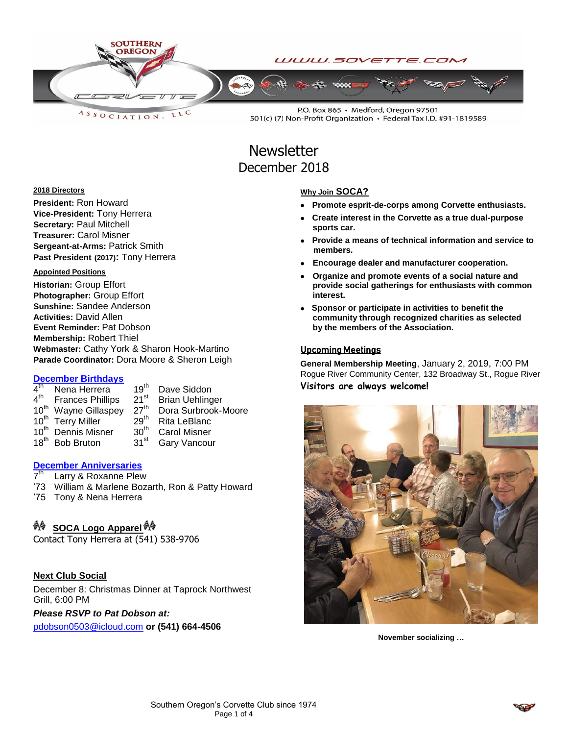

**Newsletter** December 2018

#### **2018 Directors**

**President:** Ron Howard **Vice-President:** Tony Herrera **Secretary:** Paul Mitchell **Treasurer:** Carol Misner **Sergeant-at-Arms:** Patrick Smith **Past President (2017):** Tony Herrera

#### **Appointed Positions**

**Historian:** Group Effort **Photographer:** Group Effort **Sunshine:** Sandee Anderson **Activities:** David Allen **Event Reminder:** Pat Dobson **Membership:** Robert Thiel **Webmaster:** Cathy York & Sharon Hook-Martino **Parade Coordinator:** Dora Moore & Sheron Leigh

#### **December Birthdays**

| 4 <sup>th</sup> | Nena Herrera                     | 19 <sup>th</sup> | Dave Siddon            |
|-----------------|----------------------------------|------------------|------------------------|
| $4^{\text{th}}$ | <b>Frances Phillips</b>          | $21^{st}$        | <b>Brian Uehlinger</b> |
|                 | 10 <sup>th</sup> Wayne Gillaspey | 27 <sup>th</sup> | Dora Surbrook-Moore    |
|                 | 10 <sup>th</sup> Terry Miller    | 29 <sup>th</sup> | Rita LeBlanc           |
|                 | 10 <sup>th</sup> Dennis Misner   | 30 <sup>th</sup> | <b>Carol Misner</b>    |
|                 | 18 <sup>th</sup> Bob Bruton      | 31 <sup>st</sup> | Gary Vancour           |

#### **December Anniversaries**

- 7 Larry & Roxanne Plew
- '73 William & Marlene Bozarth, Ron & Patty Howard
- '75 Tony & Nena Herrera

## $\frac{26}{3}$  SOCA Logo Apparel <sup>3</sup>

Contact Tony Herrera at (541) 538-9706

#### **Next Club Social**

December 8: Christmas Dinner at Taprock Northwest Grill, 6:00 PM

### *Please RSVP to Pat Dobson at:*

[pdobson0503@icloud.com](mailto:pdobson0503@icloud.com) **or (541) 664-4506**

#### **Why Join SOCA?**

- **Promote esprit-de-corps among Corvette enthusiasts.**
- **Create interest in the Corvette as a true dual-purpose sports car.**
- **Provide a means of technical information and service to members.**
- **Encourage dealer and manufacturer cooperation.**
- **Organize and promote events of a social nature and provide social gatherings for enthusiasts with common interest.**
- **Sponsor or participate in activities to benefit the community through recognized charities as selected by the members of the Association.**

#### Upcoming Meetings

**General Membership Meeting**, January 2, 2019, 7:00 PM Rogue River Community Center, 132 Broadway St., Rogue River **Visitors are always welcome!**



**November socializing …**

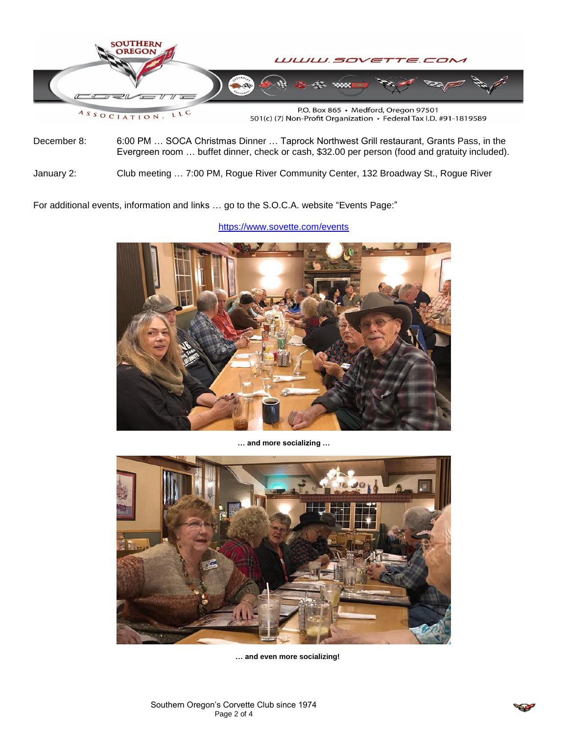

- December 8: 6:00 PM … SOCA Christmas Dinner … Taprock Northwest Grill restaurant, Grants Pass, in the Evergreen room … buffet dinner, check or cash, \$32.00 per person (food and gratuity included).
- January 2: Club meeting … 7:00 PM, Rogue River Community Center, 132 Broadway St., Rogue River

For additional events, information and links … go to the S.O.C.A. website "Events Page:"



<https://www.sovette.com/events>

**… and more socializing …**



**… and even more socializing!**

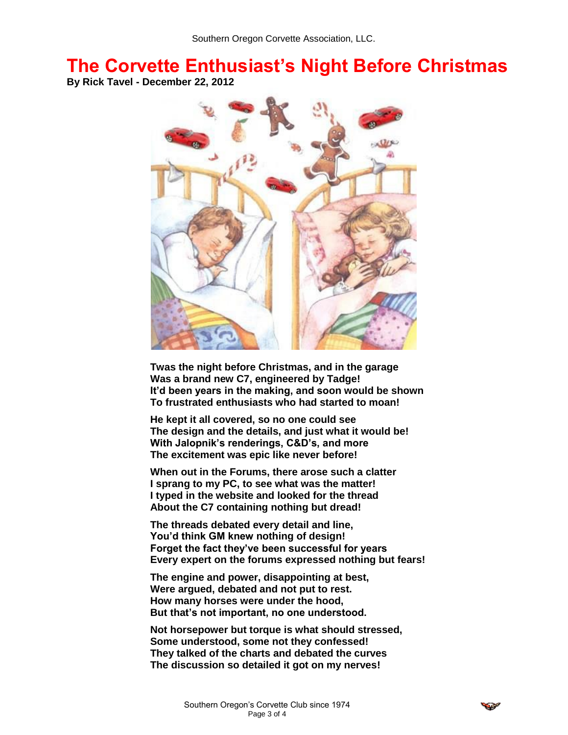# **The Corvette Enthusiast's Night Before Christmas By [Rick Tavel](https://www.corvetteforum.com/articles/author/rtavel/) - December 22, 2012**



**Twas the night before Christmas, and in the garage Was a brand new C7, engineered by Tadge! It'd been years in the making, and soon would be shown To frustrated enthusiasts who had started to moan!**

**He kept it all covered, so no one could see The design and the details, and just what it would be! With Jalopnik's renderings, C&D's, and more The excitement was epic like never before!**

**When out in the Forums, there arose such a clatter I sprang to my PC, to see what was the matter! I typed in the website and looked for the thread About the C7 containing nothing but dread!**

**The threads debated every detail and line, You'd think GM knew nothing of design! Forget the fact they've been successful for years Every expert on the forums expressed nothing but fears!**

**The engine and power, disappointing at best, Were argued, debated and not put to rest. How many horses were under the hood, But that's not important, no one understood.**

**Not horsepower but torque is what should stressed, Some understood, some not they confessed! They talked of the charts and debated the curves The discussion so detailed it got on my nerves!**

$$
\mathcal{L}^{\mathcal{P}}
$$